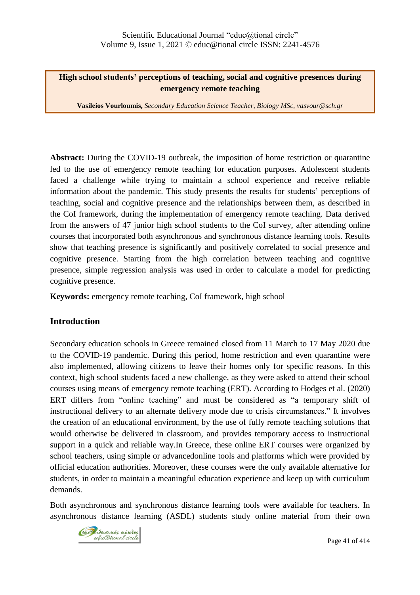### **High school students' perceptions of teaching, social and cognitive presences during emergency remote teaching**

**Vasileios Vourloumis,** *Secondary Education Science Teacher, Biology MSc, vasvour@sch.gr*

**Abstract:** During the COVID-19 outbreak, the imposition of home restriction or quarantine led to the use of emergency remote teaching for education purposes. Adolescent students faced a challenge while trying to maintain a school experience and receive reliable information about the pandemic. This study presents the results for students' perceptions of teaching, social and cognitive presence and the relationships between them, as described in the CoI framework, during the implementation of emergency remote teaching. Data derived from the answers of 47 junior high school students to the CoI survey, after attending online courses that incorporated both asynchronous and synchronous distance learning tools. Results show that teaching presence is significantly and positively correlated to social presence and cognitive presence. Starting from the high correlation between teaching and cognitive presence, simple regression analysis was used in order to calculate a model for predicting cognitive presence.

**Keywords:** emergency remote teaching, CoI framework, high school

### **Introduction**

Secondary education schools in Greece remained closed from 11 March to 17 May 2020 due to the COVID-19 pandemic. During this period, home restriction and even quarantine were also implemented, allowing citizens to leave their homes only for specific reasons. In this context, high school students faced a new challenge, as they were asked to attend their school courses using means of emergency remote teaching (ERT). According to Hodges et al. (2020) ERT differs from "online teaching" and must be considered as "a temporary shift of instructional delivery to an alternate delivery mode due to crisis circumstances." It involves the creation of an educational environment, by the use of fully remote teaching solutions that would otherwise be delivered in classroom, and provides temporary access to instructional support in a quick and reliable way.In Greece, these online ERT courses were organized by school teachers, using simple or advancedonline tools and platforms which were provided by official education authorities. Moreover, these courses were the only available alternative for students, in order to maintain a meaningful education experience and keep up with curriculum demands.

Both asynchronous and synchronous distance learning tools were available for teachers. In asynchronous distance learning (ASDL) students study online material from their own

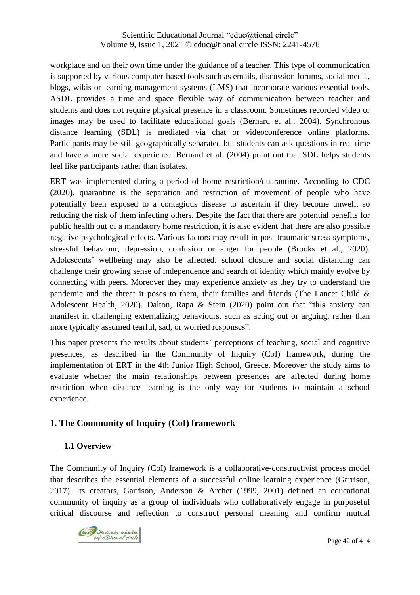workplace and on their own time under the guidance of a teacher. This type of communication is supported by various computer-based tools such as emails, discussion forums, social media, blogs, wikis or learning management systems (LMS) that incorporate various essential tools. ASDL provides a time and space flexible way of communication between teacher and students and does not require physical presence in a classroom. Sometimes recorded video or images may be used to facilitate educational goals (Bernard et al., 2004). Synchronous distance learning (SDL) is mediated via chat or videoconference online platforms. Participants may be still geographically separated but students can ask questions in real time and have a more social experience. Bernard et al. (2004) point out that SDL helps students feel like participants rather than isolates.

ERT was implemented during a period of home restriction/quarantine. According to CDC (2020), quarantine is the separation and restriction of movement of people who have potentially been exposed to a contagious disease to ascertain if they become unwell, so reducing the risk of them infecting others. Despite the fact that there are potential benefits for public health out of a mandatory home restriction, it is also evident that there are also possible negative psychological effects. Various factors may result in post-traumatic stress symptoms, stressful behaviour, depression, confusion or anger for people (Brooks et al., 2020). Adolescents' wellbeing may also be affected: school closure and social distancing can challenge their growing sense of independence and search of identity which mainly evolve by connecting with peers. Moreover they may experience anxiety as they try to understand the pandemic and the threat it poses to them, their families and friends (The Lancet Child  $\&$ Adolescent Health, 2020). Dalton, Rapa & Stein (2020) point out that "this anxiety can manifest in challenging externalizing behaviours, such as acting out or arguing, rather than more typically assumed tearful, sad, or worried responses".

This paper presents the results about students' perceptions of teaching, social and cognitive presences, as described in the Community of Inquiry (CoI) framework, during the implementation of ERT in the 4th Junior High School, Greece. Moreover the study aims to evaluate whether the main relationships between presences are affected during home restriction when distance learning is the only way for students to maintain a school experience.

# **1. The Community of Inquiry (CoI) framework**

### **1.1 Overview**

The Community of Inquiry (CoI) framework is a collaborative-constructivist process model that describes the essential elements of a successful online learning experience (Garrison, 2017). Its creators, Garrison, Anderson & Archer (1999, 2001) defined an educational community of inquiry as a group of individuals who collaboratively engage in purposeful critical discourse and reflection to construct personal meaning and confirm mutual

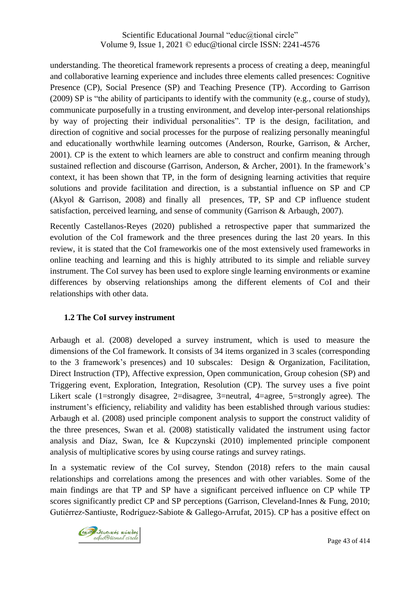understanding. The theoretical framework represents a process of creating a deep, meaningful and collaborative learning experience and includes three elements called presences: Cognitive Presence (CP), Social Presence (SP) and Teaching Presence (TP). According to Garrison (2009) SP is "the ability of participants to identify with the community (e.g., course of study), communicate purposefully in a trusting environment, and develop inter-personal relationships by way of projecting their individual personalities". TP is the design, facilitation, and direction of cognitive and social processes for the purpose of realizing personally meaningful and educationally worthwhile learning outcomes (Anderson, Rourke, Garrison, & Archer, 2001). CP is the extent to which learners are able to construct and confirm meaning through sustained reflection and discourse (Garrison, Anderson, & Archer, 2001). In the framework's context, it has been shown that TP, in the form of designing learning activities that require solutions and provide facilitation and direction, is a substantial influence on SP and CP (Akyol & Garrison, 2008) and finally all presences, TP, SP and CP influence student satisfaction, perceived learning, and sense of community (Garrison & Arbaugh, 2007).

Recently Castellanos-Reyes (2020) published a retrospective paper that summarized the evolution of the CoI framework and the three presences during the last 20 years. In this review, it is stated that the CoI frameworkis one of the most extensively used frameworks in online teaching and learning and this is highly attributed to its simple and reliable survey instrument. The CoI survey has been used to explore single learning environments or examine differences by observing relationships among the different elements of CoI and their relationships with other data.

### **1.2 The CoI survey instrument**

Arbaugh et al. (2008) developed a survey instrument, which is used to measure the dimensions of the CoI framework. It consists of 34 items organized in 3 scales (corresponding to the 3 framework's presences) and 10 subscales: Design & Organization, Facilitation, Direct Instruction (TP), Affective expression, Open communication, Group cohesion (SP) and Triggering event, Exploration, Integration, Resolution (CP). The survey uses a five point Likert scale (1=strongly disagree, 2=disagree, 3=neutral, 4=agree, 5=strongly agree). The instrument's efficiency, reliability and validity has been established through various studies: Arbaugh et al. (2008) used principle component analysis to support the construct validity of the three presences, Swan et al. (2008) statistically validated the instrument using factor analysis and Díaz, Swan, Ice & Kupczynski (2010) implemented principle component analysis of multiplicative scores by using course ratings and survey ratings.

In a systematic review of the CoI survey, Stendon (2018) refers to the main causal relationships and correlations among the presences and with other variables. Some of the main findings are that TP and SP have a significant perceived influence on CP while TP scores significantly predict CP and SP perceptions (Garrison, Cleveland-Innes & Fung, 2010; Gutiérrez-Santiuste, Rodríguez-Sabiote & Gallego-Arrufat, 2015). CP has a positive effect on

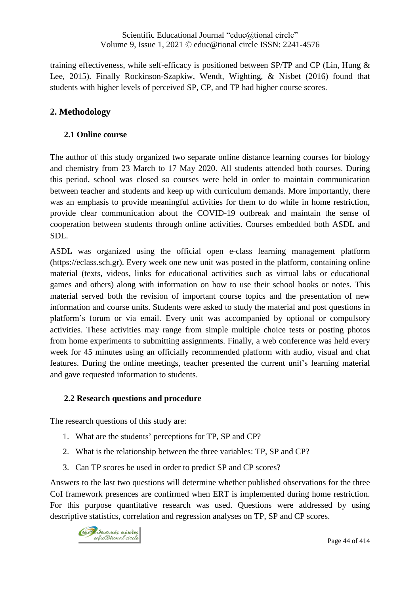training effectiveness, while self-efficacy is positioned between SP/TP and CP (Lin, Hung & Lee, 2015). Finally Rockinson-Szapkiw, Wendt, Wighting, & Nisbet (2016) found that students with higher levels of perceived SP, CP, and TP had higher course scores.

## **2. Methodology**

### **2.1 Online course**

The author of this study organized two separate online distance learning courses for biology and chemistry from 23 March to 17 May 2020. All students attended both courses. During this period, school was closed so courses were held in order to maintain communication between teacher and students and keep up with curriculum demands. More importantly, there was an emphasis to provide meaningful activities for them to do while in home restriction, provide clear communication about the COVID-19 outbreak and maintain the sense of cooperation between students through online activities. Courses embedded both ASDL and SDL.

ASDL was organized using the official open e-class learning management platform (https://eclass.sch.gr). Every week one new unit was posted in the platform, containing online material (texts, videos, links for educational activities such as virtual labs or educational games and others) along with information on how to use their school books or notes. This material served both the revision of important course topics and the presentation of new information and course units. Students were asked to study the material and post questions in platform's forum or via email. Every unit was accompanied by optional or compulsory activities. These activities may range from simple multiple choice tests or posting photos from home experiments to submitting assignments. Finally, a web conference was held every week for 45 minutes using an officially recommended platform with audio, visual and chat features. During the online meetings, teacher presented the current unit's learning material and gave requested information to students.

#### **2.2 Research questions and procedure**

The research questions of this study are:

- 1. What are the students' perceptions for TP, SP and CP?
- 2. What is the relationship between the three variables: TP, SP and CP?
- 3. Can TP scores be used in order to predict SP and CP scores?

Answers to the last two questions will determine whether published observations for the three CoI framework presences are confirmed when ERT is implemented during home restriction. For this purpose quantitative research was used. Questions were addressed by using descriptive statistics, correlation and regression analyses on TP, SP and CP scores.

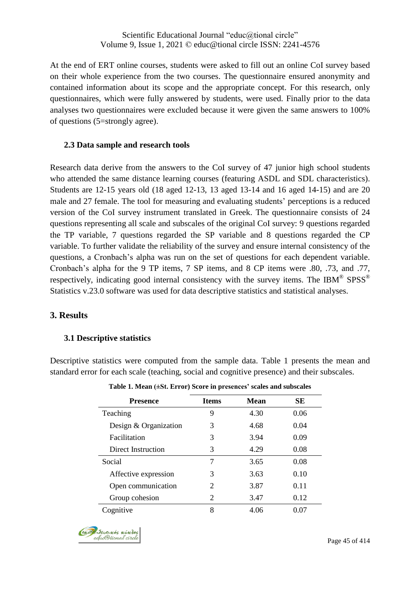At the end of ERT online courses, students were asked to fill out an online CoI survey based on their whole experience from the two courses. The questionnaire ensured anonymity and contained information about its scope and the appropriate concept. For this research, only questionnaires, which were fully answered by students, were used. Finally prior to the data analyses two questionnaires were excluded because it were given the same answers to 100% of questions (5=strongly agree).

### **2.3 Data sample and research tools**

Research data derive from the answers to the CoI survey of 47 junior high school students who attended the same distance learning courses (featuring ASDL and SDL characteristics). Students are 12-15 years old (18 aged 12-13, 13 aged 13-14 and 16 aged 14-15) and are 20 male and 27 female. The tool for measuring and evaluating students' perceptions is a reduced version of the CoI survey instrument translated in Greek. The questionnaire consists of 24 questions representing all scale and subscales of the original CoI survey: 9 questions regarded the TP variable, 7 questions regarded the SP variable and 8 questions regarded the CP variable. To further validate the reliability of the survey and ensure internal consistency of the questions, a Cronbach's alpha was run on the set of questions for each dependent variable. Cronbach's alpha for the 9 TP items, 7 SP items, and 8 CP items were .80, .73, and .77, respectively, indicating good internal consistency with the survey items. The IBM® SPSS® Statistics v.23.0 software was used for data descriptive statistics and statistical analyses.

### **3. Results**

#### **3.1 Descriptive statistics**

Descriptive statistics were computed from the sample data. Table 1 presents the mean and standard error for each scale (teaching, social and cognitive presence) and their subscales.

| <b>Presence</b>       | <b>Items</b>          | <b>Mean</b> | SЕ   |
|-----------------------|-----------------------|-------------|------|
| Teaching              | 9                     | 4.30        | 0.06 |
| Design & Organization | 3                     | 4.68        | 0.04 |
| Facilitation          | 3                     | 3.94        | 0.09 |
| Direct Instruction    | 3                     | 4.29        | 0.08 |
| Social                | 7                     | 3.65        | 0.08 |
| Affective expression  | 3                     | 3.63        | 0.10 |
| Open communication    | $\mathcal{D}_{\cdot}$ | 3.87        | 0.11 |
| Group cohesion        | 2                     | 3.47        | 0.12 |
| Cognitive             | 8                     | 4.06        | 0.07 |

**Table 1. Mean (±St. Error) Score in presences' scales and subscales**

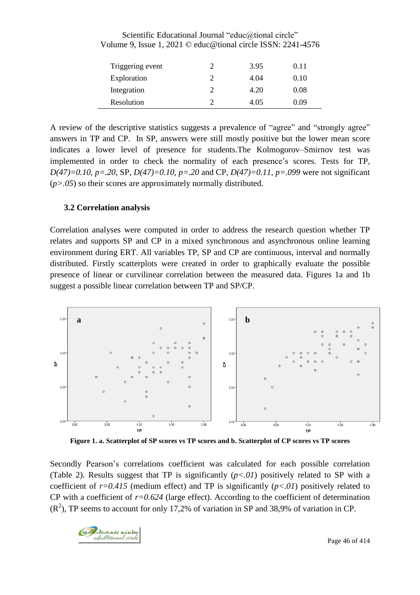| Triggering event | 3.95 | 0.11 |
|------------------|------|------|
| Exploration      | 4.04 | 0.10 |
| Integration      | 4.20 | 0.08 |
| Resolution       | 4.05 | 0.09 |

Scientific Educational Journal "educ@tional circle" Volume 9, Issue 1, 2021 © educ@tional circle ISSN: 2241-4576

A review of the descriptive statistics suggests a prevalence of "agree" and "strongly agree" answers in TP and CP. In SP, answers were still mostly positive but the lower mean score indicates a lower level of presence for students.The Kolmogorov–Smirnov test was implemented in order to check the normality of each presence's scores. Tests for TP, *D(47)=0.10, p=.20*, SP, *D(47)=0.10, p=.20* and CP, *D(47)=0.11, p=.099* were not significant (*p>.05*) so their scores are approximately normally distributed.

#### **3.2 Correlation analysis**

Correlation analyses were computed in order to address the research question whether TP relates and supports SP and CP in a mixed synchronous and asynchronous online learning environment during ERT. All variables TP, SP and CP are continuous, interval and normally distributed. Firstly scatterplots were created in order to graphically evaluate the possible presence of linear or curvilinear correlation between the measured data. Figures 1a and 1b suggest a possible linear correlation between TP and SP/CP.



Figure 1. a. Scatterplot of SP scores vs TP scores and b. Scatterplot of CP scores vs TP scores

Secondly Pearson's correlations coefficient was calculated for each possible correlation (Table 2). Results suggest that TP is significantly  $(p<0.01)$  positively related to SP with a coefficient of *r=0.415* (medium effect) and TP is significantly (*p<.01*) positively related to CP with a coefficient of *r=0.624* (large effect). According to the coefficient of determination  $(R<sup>2</sup>)$ , TP seems to account for only 17,2% of variation in SP and 38,9% of variation in CP.

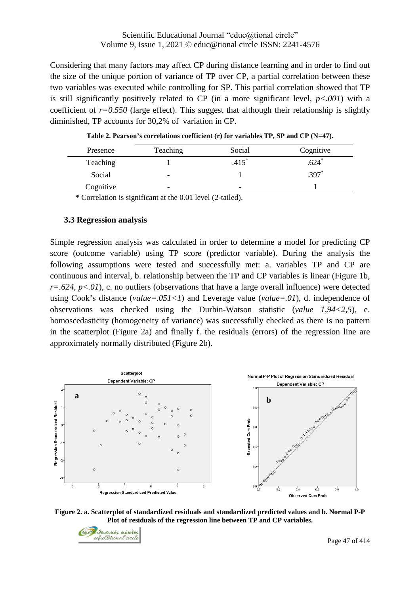Considering that many factors may affect CP during distance learning and in order to find out the size of the unique portion of variance of TP over CP, a partial correlation between these two variables was executed while controlling for SP. This partial correlation showed that TP is still significantly positively related to CP (in a more significant level, *p<.001*) with a coefficient of  $r=0.550$  (large effect). This suggest that although their relationship is slightly diminished, TP accounts for 30,2% of variation in CP.

| Presence  | Teaching                 | Social              | Cognitive |
|-----------|--------------------------|---------------------|-----------|
| Teaching  |                          | $.415$ <sup>*</sup> | .624      |
| Social    | -                        |                     | $.397*$   |
| Cognitive | $\overline{\phantom{0}}$ | -                   |           |

**Table 2. Pearson's correlations coefficient (r) for variables TP, SP and CP (N=47).**

\* Correlation is significant at the 0.01 level (2-tailed).

#### **3.3 Regression analysis**

Simple regression analysis was calculated in order to determine a model for predicting CP score (outcome variable) using TP score (predictor variable). During the analysis the following assumptions were tested and successfully met: a. variables TP and CP are continuous and interval, b. relationship between the TP and CP variables is linear (Figure 1b,  $r=.624$ ,  $p<.01$ ), c. no outliers (observations that have a large overall influence) were detected using Cook's distance (*value=.051<1*) and Leverage value (*value=.01*), d. independence of observations was checked using the Durbin-Watson statistic (*value 1,94<2,5*), e. homoscedasticity (homogeneity of variance) was successfully checked as there is no pattern in the scatterplot (Figure 2a) and finally f. the residuals (errors) of the regression line are approximately normally distributed (Figure 2b).



**Figure 2. a. Scatterplot of standardized residuals and standardized predicted values and b. Normal P-P Plot of residuals of the regression line between TP and CP variables.**

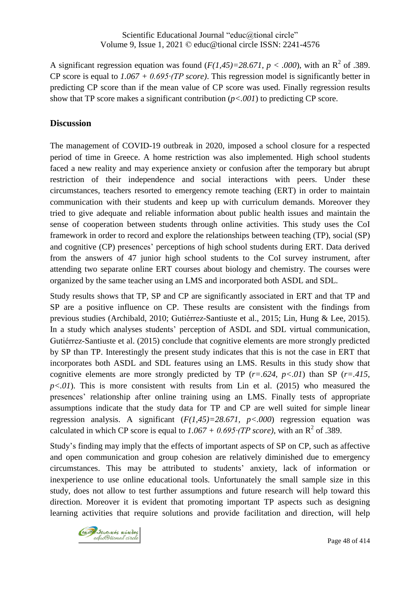A significant regression equation was found  $(F(1,45)=28.671, p < .000)$ , with an R<sup>2</sup> of .389. CP score is equal to *1.067 + 0.695∙(TP score)*. This regression model is significantly better in predicting CP score than if the mean value of CP score was used. Finally regression results show that TP score makes a significant contribution (*p<.001*) to predicting CP score.

### **Discussion**

The management of COVID-19 outbreak in 2020, imposed a school closure for a respected period of time in Greece. A home restriction was also implemented. High school students faced a new reality and may experience anxiety or confusion after the temporary but abrupt restriction of their independence and social interactions with peers. Under these circumstances, teachers resorted to emergency remote teaching (ERT) in order to maintain communication with their students and keep up with curriculum demands. Moreover they tried to give adequate and reliable information about public health issues and maintain the sense of cooperation between students through online activities. This study uses the CoI framework in order to record and explore the relationships between teaching (TP), social (SP) and cognitive (CP) presences' perceptions of high school students during ERT. Data derived from the answers of 47 junior high school students to the CoI survey instrument, after attending two separate online ERT courses about biology and chemistry. The courses were organized by the same teacher using an LMS and incorporated both ASDL and SDL.

Study results shows that TP, SP and CP are significantly associated in ERT and that TP and SP are a positive influence on CP. These results are consistent with the findings from previous studies (Archibald, 2010; Gutiérrez-Santiuste et al., 2015; Lin, Hung & Lee, 2015). In a study which analyses students' perception of ASDL and SDL virtual communication, Gutiérrez-Santiuste et al. (2015) conclude that cognitive elements are more strongly predicted by SP than TP. Interestingly the present study indicates that this is not the case in ERT that incorporates both ASDL and SDL features using an LMS. Results in this study show that cognitive elements are more strongly predicted by TP (*r=.624, p<.01*) than SP (*r=.415,*  $p<.01$ ). This is more consistent with results from Lin et al. (2015) who measured the presences' relationship after online training using an LMS. Finally tests of appropriate assumptions indicate that the study data for TP and CP are well suited for simple linear regression analysis. A significant  $(F(1,45)=28.671, p<.000)$  regression equation was calculated in which CP score is equal to  $1.067 + 0.695$ *∙(TP score)*, with an R<sup>2</sup> of .389.

Study's finding may imply that the effects of important aspects of SP on CP, such as affective and open communication and group cohesion are relatively diminished due to emergency circumstances. This may be attributed to students' anxiety, lack of information or inexperience to use online educational tools. Unfortunately the small sample size in this study, does not allow to test further assumptions and future research will help toward this direction. Moreover it is evident that promoting important TP aspects such as designing learning activities that require solutions and provide facilitation and direction, will help

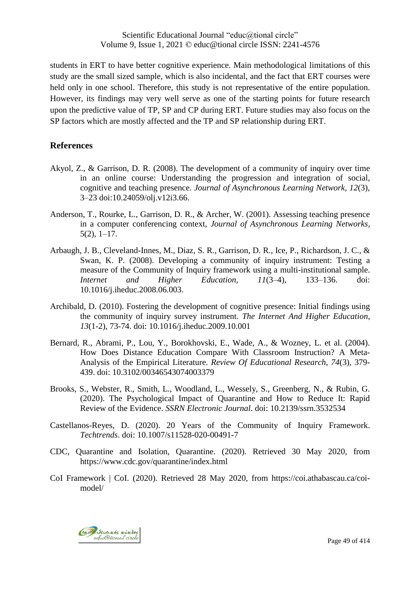students in ERT to have better cognitive experience. Main methodological limitations of this study are the small sized sample, which is also incidental, and the fact that ERT courses were held only in one school. Therefore, this study is not representative of the entire population. However, its findings may very well serve as one of the starting points for future research upon the predictive value of TP, SP and CP during ERT. Future studies may also focus on the SP factors which are mostly affected and the TP and SP relationship during ERT.

#### **References**

- Akyol, Z., & Garrison, D. R. (2008). The development of a community of inquiry over time in an online course: Understanding the progression and integration of social, cognitive and teaching presence. *Journal of Asynchronous Learning Network, 12*(3), 3–23 doi:10.24059/olj.v12i3.66.
- Anderson, T., Rourke, L., Garrison, D. R., & Archer, W. (2001). Assessing teaching presence in a computer conferencing context, *Journal of Asynchronous Learning Networks,* 5(2), 1–17.
- Arbaugh, J. B., Cleveland-Innes, M., Diaz, S. R., Garrison, D. R., Ice, P., Richardson, J. C., & Swan, K. P. (2008). Developing a community of inquiry instrument: Testing a measure of the Community of Inquiry framework using a multi-institutional sample. *Internet and Higher Education, 11*(3–4), 133–136. doi: 10.1016/j.iheduc.2008.06.003.
- Archibald, D. (2010). Fostering the development of cognitive presence: Initial findings using the community of inquiry survey instrument. *The Internet And Higher Education*, *13*(1-2), 73-74. doi: 10.1016/j.iheduc.2009.10.001
- Bernard, R., Abrami, P., Lou, Y., Borokhovski, E., Wade, A., & Wozney, L. et al. (2004). How Does Distance Education Compare With Classroom Instruction? A Meta-Analysis of the Empirical Literature. *Review Of Educational Research*, *74*(3), 379- 439. doi: 10.3102/00346543074003379
- Brooks, S., Webster, R., Smith, L., Woodland, L., Wessely, S., Greenberg, N., & Rubin, G. (2020). The Psychological Impact of Quarantine and How to Reduce It: Rapid Review of the Evidence. *SSRN Electronic Journal*. doi: 10.2139/ssrn.3532534
- Castellanos-Reyes, D. (2020). 20 Years of the Community of Inquiry Framework. *Techtrends*. doi: 10.1007/s11528-020-00491-7
- CDC, Quarantine and Isolation, Quarantine. (2020). Retrieved 30 May 2020, from https://www.cdc.gov/quarantine/index.html
- CoI Framework | CoI. (2020). Retrieved 28 May 2020, from https://coi.athabascau.ca/coimodel/

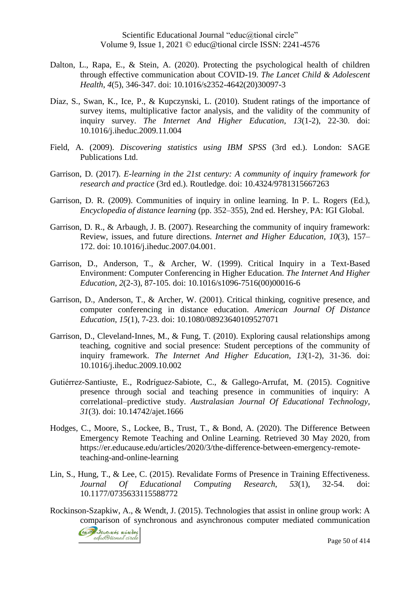- Dalton, L., Rapa, E., & Stein, A. (2020). Protecting the psychological health of children through effective communication about COVID-19. *The Lancet Child & Adolescent Health*, *4*(5), 346-347. doi: 10.1016/s2352-4642(20)30097-3
- Díaz, S., Swan, K., Ice, P., & Kupczynski, L. (2010). Student ratings of the importance of survey items, multiplicative factor analysis, and the validity of the community of inquiry survey. *The Internet And Higher Education*, *13*(1-2), 22-30. doi: 10.1016/j.iheduc.2009.11.004
- Field, A. (2009). *Discovering statistics using IBM SPSS* (3rd ed.). London: SAGE Publications Ltd.
- Garrison, D. (2017). *E-learning in the 21st century: A community of inquiry framework for research and practice* (3rd ed.). Routledge. doi: 10.4324/9781315667263
- Garrison, D. R. (2009). Communities of inquiry in online learning. In P. L. Rogers (Ed.), *Encyclopedia of distance learning* (pp. 352–355), 2nd ed. Hershey, PA: IGI Global.
- Garrison, D. R., & Arbaugh, J. B. (2007). Researching the community of inquiry framework: Review, issues, and future directions. *Internet and Higher Education, 10*(3), 157– 172. doi: 10.1016/j.iheduc.2007.04.001.
- Garrison, D., Anderson, T., & Archer, W. (1999). Critical Inquiry in a Text-Based Environment: Computer Conferencing in Higher Education. *The Internet And Higher Education*, *2*(2-3), 87-105. doi: 10.1016/s1096-7516(00)00016-6
- Garrison, D., Anderson, T., & Archer, W. (2001). Critical thinking, cognitive presence, and computer conferencing in distance education. *American Journal Of Distance Education*, *15*(1), 7-23. doi: 10.1080/08923640109527071
- Garrison, D., Cleveland-Innes, M., & Fung, T. (2010). Exploring causal relationships among teaching, cognitive and social presence: Student perceptions of the community of inquiry framework. *The Internet And Higher Education*, *13*(1-2), 31-36. doi: 10.1016/j.iheduc.2009.10.002
- Gutiérrez-Santiuste, E., Rodríguez-Sabiote, C., & Gallego-Arrufat, M. (2015). Cognitive presence through social and teaching presence in communities of inquiry: A correlational–predictive study. *Australasian Journal Of Educational Technology, 31*(3). doi: 10.14742/ajet.1666
- Hodges, C., Moore, S., Lockee, B., Trust, T., & Bond, A. (2020). The Difference Between Emergency Remote Teaching and Online Learning. Retrieved 30 May 2020, from https://er.educause.edu/articles/2020/3/the-difference-between-emergency-remoteteaching-and-online-learning
- Lin, S., Hung, T., & Lee, C. (2015). Revalidate Forms of Presence in Training Effectiveness. *Journal Of Educational Computing Research*, *53*(1), 32-54. doi: 10.1177/0735633115588772
- Rockinson-Szapkiw, A., & Wendt, J. (2015). Technologies that assist in online group work: A comparison of synchronous and asynchronous computer mediated communication